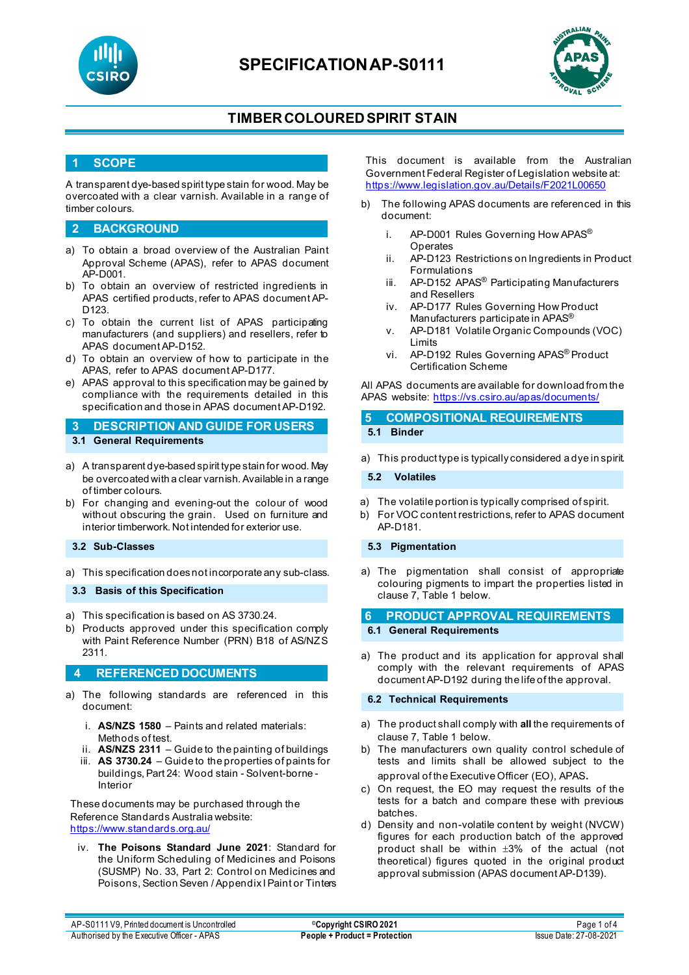

# **SPECIFICATIONAP-S0111**



### **TIMBERCOLOURED SPIRIT STAIN**

### **1 SCOPE**

A transparent dye-based spirit type stain for wood. May be overcoated with a clear varnish. Available in a range of timber colours.

### **2 BACKGROUND**

- a) To obtain a broad overview of the Australian Paint Approval Scheme (APAS), refer to APAS document AP-D001.
- b) To obtain an overview of restricted ingredients in APAS certified products, refer to APAS document AP-D123.
- c) To obtain the current list of APAS participating manufacturers (and suppliers) and resellers, refer to APAS document AP-D152.
- d) To obtain an overview of how to participate in the APAS, refer to APAS document AP-D177.
- e) APAS approval to this specification may be gained by compliance with the requirements detailed in this specification and those in APAS document AP-D192.

**3 DESCRIPTION AND GUIDE FOR USERS 3.1 General Requirements**

- 
- a) A transparent dye-based spirit type stain for wood. May be overcoated with a clear varnish. Available in a range of timber colours.
- b) For changing and evening-out the colour of wood without obscuring the grain. Used on furniture and interior timberwork. Not intended for exterior use.
- **3.2 Sub-Classes**
- a) This specification does not incorporate any sub-class.

**3.3 Basis of this Specification**

- a) This specification is based on AS 3730.24.
- b) Products approved under this specification comply with Paint Reference Number (PRN) B18 of AS/NZS 2311.

#### **4 REFERENCED DOCUMENTS**

- a) The following standards are referenced in this document:
	- i. **AS/NZS 1580** Paints and related materials: Methods of test.
	- ii. **AS/NZS 2311**  Guide to the painting of buildings
	- iii. **AS 3730.24** Guide to the properties of paints for buildings, Part 24: Wood stain - Solvent-borne - Interior

These documents may be purchased through the Reference Standards Australia website: <https://www.standards.org.au/>

iv. **The Poisons Standard June 2021**: Standard for the Uniform Scheduling of Medicines and Poisons (SUSMP) No. 33, Part 2: Control on Medicines and Poisons, Section Seven / Appendix I Paint or Tinters This document is available from the Australian Government Federal Register of Legislation website at: <https://www.legislation.gov.au/Details/F2021L00650>

- b) The following APAS documents are referenced in this document:
	- i. AP-D001 Rules Governing How APAS<sup>®</sup> Operates
	- ii. AP-D123 Restrictions on Ingredients in Product Formulations
	- iii. AP-D152 APAS<sup>®</sup> Participating Manufacturers and Resellers
	- iv. AP-D177 Rules Governing How Product Manufacturers participate in APAS<sup>®</sup>
	- v. AP-D181 Volatile Organic Compounds (VOC) Limits
	- vi. AP-D192 Rules Governing APAS® Product Certification Scheme

All APAS documents are available for download from the APAS website: <https://vs.csiro.au/apas/documents/>

#### **5 COMPOSITIONAL REQUIREMENTS 5.1 Binder**

a) This product type is typically considered a dye in spirit.

**5.2 Volatiles**

- a) The volatile portion is typically comprised of spirit.
- b) For VOC content restrictions, refer to APAS document AP-D181.

### **5.3 Pigmentation**

a) The pigmentation shall consist of appropriate colouring pigments to impart the properties listed in clause 7, Table 1 below.

#### **6 PRODUCT APPROVAL REQUIREMENTS**

#### **6.1 General Requirements**

a) The product and its application for approval shall comply with the relevant requirements of APAS document AP-D192 during the life of the approval.

**6.2 Technical Requirements**

- a) The product shall comply with **all** the requirements of clause 7, Table 1 below.
- b) The manufacturers own quality control schedule of tests and limits shall be allowed subject to the approval of the Executive Officer (EO), APAS.
- c) On request, the EO may request the results of the tests for a batch and compare these with previous batches.
- d) Density and non-volatile content by weight (NVCW) figures for each production batch of the approved product shall be within ±3% of the actual (not theoretical) figures quoted in the original product approval submission (APAS document AP-D139).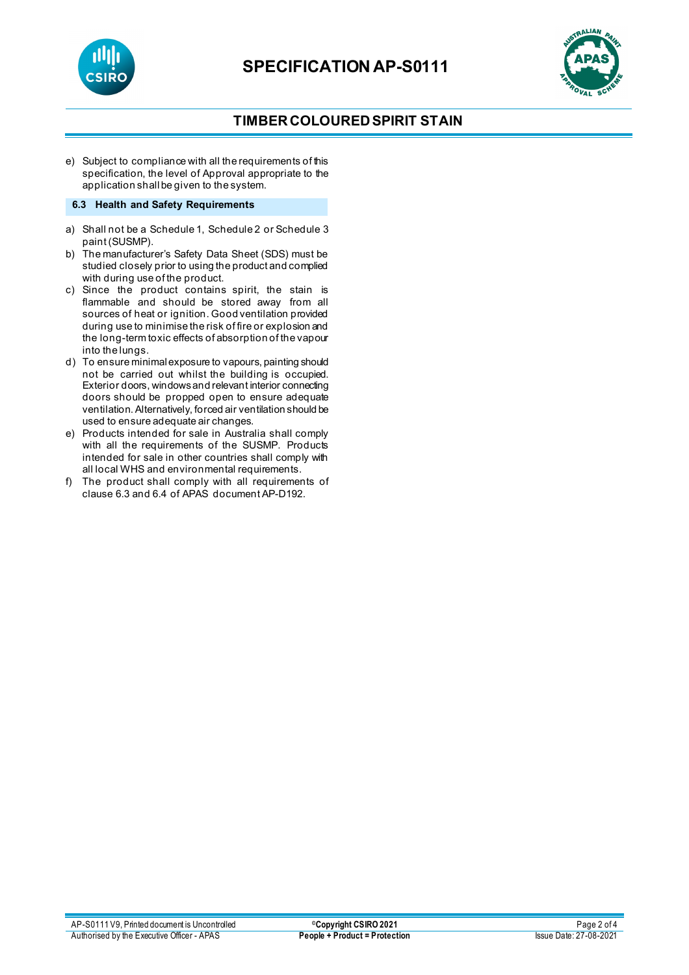



## **TIMBERCOLOURED SPIRIT STAIN**

e) Subject to compliance with all the requirements of this specification, the level of Approval appropriate to the application shall be given to the system.

#### **6.3 Health and Safety Requirements**

- a) Shall not be a Schedule 1, Schedule 2 or Schedule 3 paint (SUSMP).
- b) The manufacturer's Safety Data Sheet (SDS) must be studied closely prior to using the product and complied with during use of the product.
- c) Since the product contains spirit, the stain is flammable and should be stored away from all sources of heat or ignition. Good ventilation provided during use to minimise the risk of fire or explosion and the long-term toxic effects of absorption of the vapour into the lungs.
- d) To ensure minimal exposure to vapours, painting should not be carried out whilst the building is occupied. Exterior doors, windows and relevant interior connecting doors should be propped open to ensure adequate ventilation. Alternatively, forced air ventilation should be used to ensure adequate air changes.
- e) Products intended for sale in Australia shall comply with all the requirements of the SUSMP. Products intended for sale in other countries shall comply with all local WHS and environmental requirements.
- f) The product shall comply with all requirements of clause 6.3 and 6.4 of APAS document AP-D192.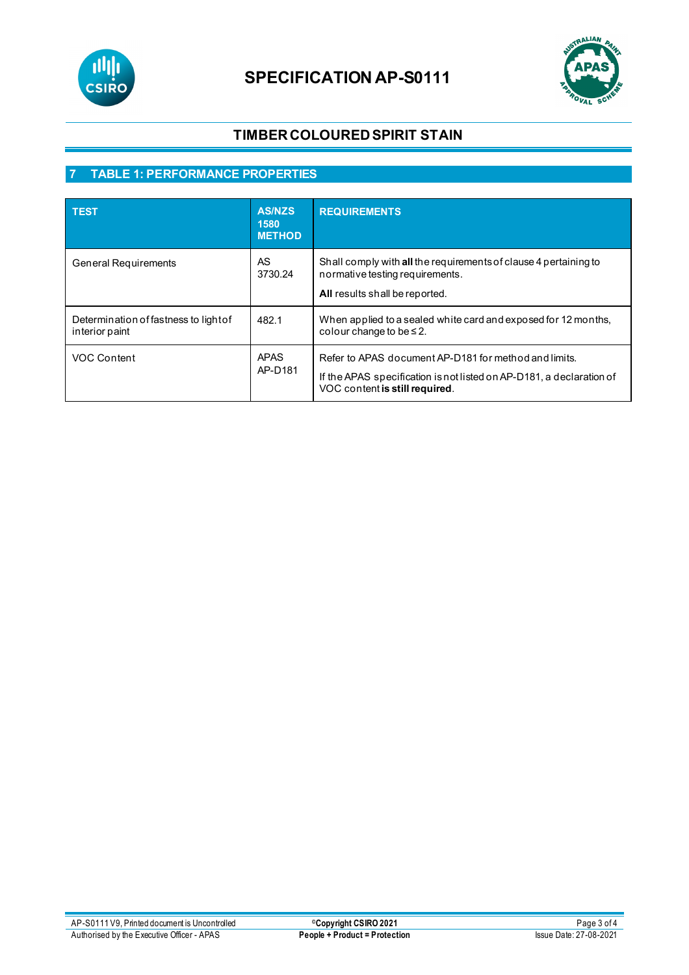

# **SPECIFICATION AP-S0111**



# **TIMBERCOLOURED SPIRIT STAIN**

# **7 TABLE 1: PERFORMANCE PROPERTIES**

| <b>TEST</b>                                             | <b>AS/NZS</b><br>1580<br><b>METHOD</b> | <b>REQUIREMENTS</b>                                                                                                                                             |
|---------------------------------------------------------|----------------------------------------|-----------------------------------------------------------------------------------------------------------------------------------------------------------------|
| <b>General Requirements</b>                             | AS.<br>3730.24                         | Shall comply with all the requirements of clause 4 pertaining to<br>normative testing requirements.<br>All results shall be reported.                           |
| Determination of fastness to light of<br>interior paint | 482.1                                  | When applied to a sealed white card and exposed for 12 months,<br>colour change to be $\leq$ 2.                                                                 |
| VOC Content                                             | <b>APAS</b><br>AP-D181                 | Refer to APAS document AP-D181 for method and limits.<br>If the APAS specification is not listed on AP-D181, a declaration of<br>VOC content is still required. |